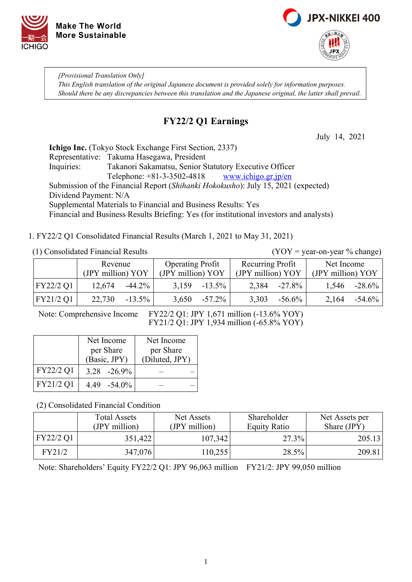



*[Provisional Translation Only] This English translation of the original Japanese document is provided solely for information purposes. Should there be any discrepancies between this translation and the Japanese original, the latter shall prevail.*

# **FY22/2 Q1 Earnings**

July 14, 2021

**Ichigo Inc.** (Tokyo Stock Exchange First Section, 2337) Representative: Takuma Hasegawa, President Inquiries: Takanori Sakamatsu, Senior Statutory Executive Officer Telephone: +81-3-3502-4818 [www.ichigo.gr.jp/en](https://www.ichigo.gr.jp/en) Submission of the Financial Report (*Shihanki Hokokusho*): July 15, 2021 (expected) Dividend Payment: N/A Supplemental Materials to Financial and Business Results: Yes Financial and Business Results Briefing: Yes (for institutional investors and analysts)

1. FY22/2 Q1 Consolidated Financial Results (March 1, 2021 to May 31, 2021)

### (1) Consolidated Financial Results (YOY = year-on-year % change)

|           | Revenue           |           | <b>Operating Profit</b> |           | Recurring Profit  |           | Net Income        |           |
|-----------|-------------------|-----------|-------------------------|-----------|-------------------|-----------|-------------------|-----------|
|           | (JPY million) YOY |           | (JPY million) YOY       |           | (JPY million) YOY |           | (JPY million) YOY |           |
| FY22/2 Q1 | 12.674            | $-44.2\%$ | 3,159                   | $-13.5\%$ | 2,384             | $-27.8\%$ | 1,546             | $-28.6\%$ |
| FY21/2 Q1 | 22,730            | $-13.5\%$ | 3,650                   | $-57.2\%$ | 3,303             | $-56.6\%$ | 2.164             | $-54.6\%$ |

Note: Comprehensive Income FY22/2 Q1: JPY 1,671 million (-13.6% YOY) FY21/2 Q1: JPY 1,934 million (-65.8% YOY)

|           | Net Income      | Net Income     |
|-----------|-----------------|----------------|
|           | per Share       | per Share      |
|           | (Basic, JPY)    | (Diluted, JPY) |
| FY22/2 Q1 | $3.28 - 26.9\%$ |                |
| FY21/2 Q1 | 4.49 -54.0%     |                |

(2) Consolidated Financial Condition

|           | <b>Total Assets</b><br>(JPY million) | Net Assets<br>(JPY million) | Shareholder<br><b>Equity Ratio</b> | Net Assets per<br>Share (JPY) |
|-----------|--------------------------------------|-----------------------------|------------------------------------|-------------------------------|
| FY22/2 Q1 | 351,422                              | 107,342                     | 27.3%                              | 205.13                        |
| FY21/2    | 347,076                              | 110,255                     | 28.5%                              | 209.81                        |

Note: Shareholders' Equity FY22/2 Q1: JPY 96,063 million FY21/2: JPY 99,050 million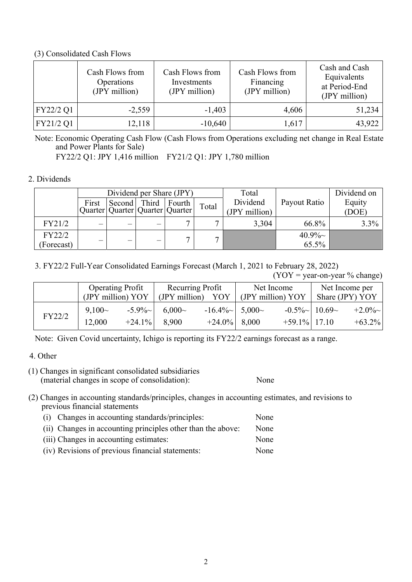#### (3) Consolidated Cash Flows

|           | Cash Flows from<br>Operations<br>(JPY million) | Cash Flows from<br>Investments<br>(JPY million) | Cash Flows from<br>Financing<br>(JPY million) | Cash and Cash<br>Equivalents<br>at Period-End<br>(JPY million) |
|-----------|------------------------------------------------|-------------------------------------------------|-----------------------------------------------|----------------------------------------------------------------|
| FY22/2 Q1 | $-2,559$                                       | $-1,403$                                        | 4,606                                         | 51,234                                                         |
| FY21/2 Q1 | 12,118                                         | $-10,640$                                       | 1,617                                         | 43,922                                                         |

Note: Economic Operating Cash Flow (Cash Flows from Operations excluding net change in Real Estate and Power Plants for Sale)

FY22/2 Q1: JPY 1,416 million FY21/2 Q1: JPY 1,780 million

### 2. Dividends

|            | Dividend per Share (JPY) |                     |                          |                                       |              | Total         |              | Dividend on |
|------------|--------------------------|---------------------|--------------------------|---------------------------------------|--------------|---------------|--------------|-------------|
|            | First                    | Second Third Fourth |                          |                                       | Total        | Dividend      | Payout Ratio | Equity      |
|            |                          |                     |                          | Quarter   Quarter   Quarter   Quarter |              | (JPY million) |              | (DOE)       |
| FY21/2     | —                        | —                   |                          | −                                     |              | 3,304         | 66.8%        | $3.3\%$     |
| FY22/2     |                          |                     |                          |                                       | $\mathbf{r}$ |               | $40.9\%$ ~   |             |
| (Forecast) | —                        | —                   | $\overline{\phantom{0}}$ |                                       |              |               | 65.5%        |             |

3. FY22/2 Full-Year Consolidated Earnings Forecast (March 1, 2021 to February 28, 2022)

 $(YOY = year-on-year \% change)$ 

|        | <b>Operating Profit</b><br>(JPY million) YOY |                       | Recurring Profit<br>(JPY million)<br>YOY |                                            | Net Income<br>(JPY million) YOY |                                       | Net Income per<br>Share (JPY) YOY |                         |
|--------|----------------------------------------------|-----------------------|------------------------------------------|--------------------------------------------|---------------------------------|---------------------------------------|-----------------------------------|-------------------------|
| FY22/2 | $9,100-$<br>12,000                           | $-5.9\%$<br>$+24.1\%$ | $6,000-$<br>8,900                        | $-16.4\%$ $-$ 5,000 $-$<br>$+24.0\%$ 8,000 |                                 | $-0.5\%$   10.69 ~<br>$+59.1\%$ 17.10 |                                   | $+2.0\%$ ~<br>$+63.2\%$ |

Note: Given Covid uncertainty, Ichigo is reporting its FY22/2 earnings forecast as a range.

# 4. Other

(1) Changes in significant consolidated subsidiaries (material changes in scope of consolidation): None

(2) Changes in accounting standards/principles, changes in accounting estimates, and revisions to previous financial statements

- (i) Changes in accounting standards/principles: None (ii) Changes in accounting principles other than the above: None (iii) Changes in accounting estimates: None
- (iv) Revisions of previous financial statements: None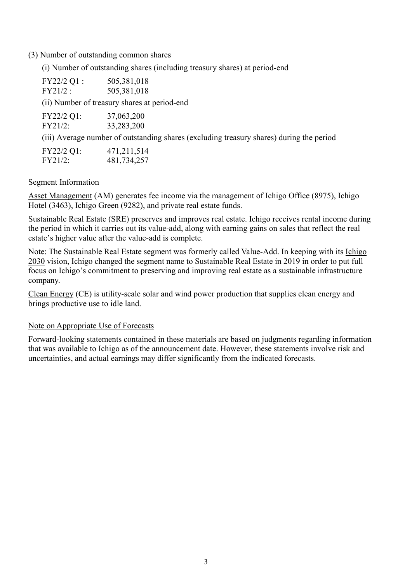(3) Number of outstanding common shares

(i) Number of outstanding shares (including treasury shares) at period-end

| FY22/2 Q1 : | 505,381,018                                                                              |
|-------------|------------------------------------------------------------------------------------------|
| FY21/2:     | 505,381,018                                                                              |
|             | (ii) Number of treasury shares at period-end                                             |
| FY22/2 Q1:  | 37,063,200                                                                               |
| FY21/2:     | 33,283,200                                                                               |
|             | (iii) Average number of outstanding shares (excluding treasury shares) during the period |

| FY22/2 Q1: | 471,211,514 |
|------------|-------------|
| FY21/2:    | 481,734,257 |

### Segment Information

Asset Management (AM) generates fee income via the management of Ichigo Office (8975), Ichigo Hotel (3463), Ichigo Green (9282), and private real estate funds.

Sustainable Real Estate (SRE) preserves and improves real estate. Ichigo receives rental income during the period in which it carries out its value-add, along with earning gains on sales that reflect the real estate's higher value after the value-add is complete.

Note: The Sustainable Real Estate segment was formerly called Value-Add. In keeping with its Ichigo 2030 vision, Ichigo changed the segment name to Sustainable Real Estate in 2019 in order to put full focus on Ichigo's commitment to preserving and improving real estate as a sustainable infrastructure company.

Clean Energy (CE) is utility-scale solar and wind power production that supplies clean energy and brings productive use to idle land.

# Note on Appropriate Use of Forecasts

Forward-looking statements contained in these materials are based on judgments regarding information that was available to Ichigo as of the announcement date. However, these statements involve risk and uncertainties, and actual earnings may differ significantly from the indicated forecasts.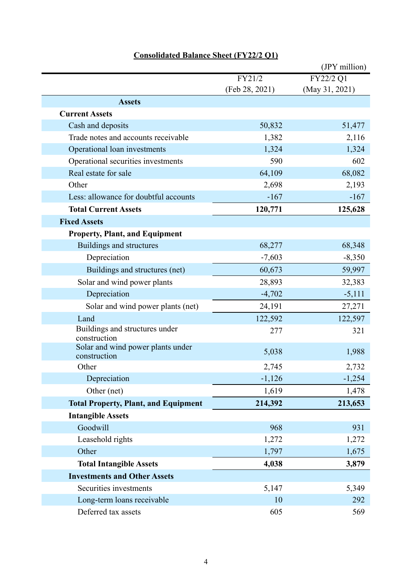|                                                   |                | (JPY million)  |
|---------------------------------------------------|----------------|----------------|
|                                                   | FY21/2         | FY22/2 Q1      |
|                                                   | (Feb 28, 2021) | (May 31, 2021) |
| <b>Assets</b>                                     |                |                |
| <b>Current Assets</b>                             |                |                |
| Cash and deposits                                 | 50,832         | 51,477         |
| Trade notes and accounts receivable               | 1,382          | 2,116          |
| Operational loan investments                      | 1,324          | 1,324          |
| Operational securities investments                | 590            | 602            |
| Real estate for sale                              | 64,109         | 68,082         |
| Other                                             | 2,698          | 2,193          |
| Less: allowance for doubtful accounts             | $-167$         | $-167$         |
| <b>Total Current Assets</b>                       | 120,771        | 125,628        |
| <b>Fixed Assets</b>                               |                |                |
| <b>Property, Plant, and Equipment</b>             |                |                |
| Buildings and structures                          | 68,277         | 68,348         |
| Depreciation                                      | $-7,603$       | $-8,350$       |
| Buildings and structures (net)                    | 60,673         | 59,997         |
| Solar and wind power plants                       | 28,893         | 32,383         |
| Depreciation                                      | $-4,702$       | $-5,111$       |
| Solar and wind power plants (net)                 | 24,191         | 27,271         |
| Land                                              | 122,592        | 122,597        |
| Buildings and structures under<br>construction    | 277            | 321            |
| Solar and wind power plants under<br>construction | 5,038          | 1,988          |
| Other                                             | 2,745          | 2,732          |
| Depreciation                                      | $-1,126$       | $-1,254$       |
| Other (net)                                       | 1,619          | 1,478          |
| <b>Total Property, Plant, and Equipment</b>       | 214,392        | 213,653        |
| <b>Intangible Assets</b>                          |                |                |
| Goodwill                                          | 968            | 931            |
| Leasehold rights                                  | 1,272          | 1,272          |
| Other                                             | 1,797          | 1,675          |
| <b>Total Intangible Assets</b>                    | 4,038          | 3,879          |
| <b>Investments and Other Assets</b>               |                |                |
| Securities investments                            | 5,147          | 5,349          |
| Long-term loans receivable                        | 10             | 292            |
| Deferred tax assets                               | 605            | 569            |

# **Consolidated Balance Sheet (FY22/2 Q1)**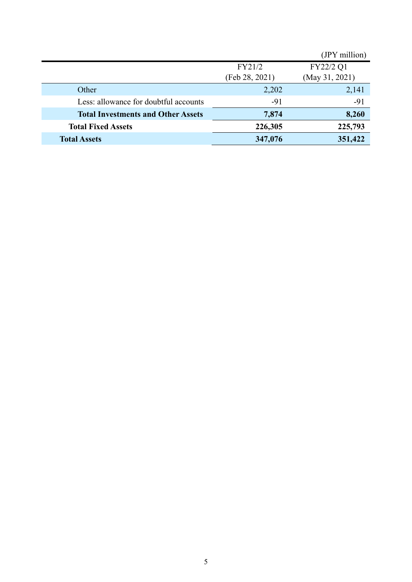|                                           |                | (JPY million)  |
|-------------------------------------------|----------------|----------------|
|                                           | FY21/2         | FY22/2 Q1      |
|                                           | (Feb 28, 2021) | (May 31, 2021) |
| Other                                     | 2,202          | 2,141          |
| Less: allowance for doubtful accounts     | $-91$          | $-91$          |
| <b>Total Investments and Other Assets</b> | 7,874          | 8,260          |
| <b>Total Fixed Assets</b>                 | 226,305        | 225,793        |
| <b>Total Assets</b>                       | 347,076        | 351,422        |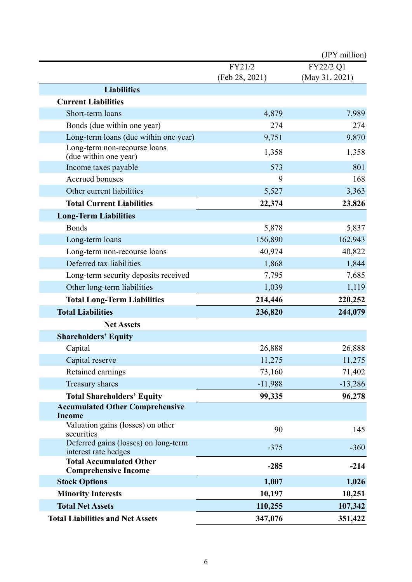|                                                               |                | (JPY million)  |
|---------------------------------------------------------------|----------------|----------------|
|                                                               | FY21/2         | FY22/2 Q1      |
|                                                               | (Feb 28, 2021) | (May 31, 2021) |
| <b>Liabilities</b>                                            |                |                |
| <b>Current Liabilities</b>                                    |                |                |
| Short-term loans                                              | 4,879          | 7,989          |
| Bonds (due within one year)                                   | 274            | 274            |
| Long-term loans (due within one year)                         | 9,751          | 9,870          |
| Long-term non-recourse loans<br>(due within one year)         | 1,358          | 1,358          |
| Income taxes payable                                          | 573            | 801            |
| <b>Accrued bonuses</b>                                        | 9              | 168            |
| Other current liabilities                                     | 5,527          | 3,363          |
| <b>Total Current Liabilities</b>                              | 22,374         | 23,826         |
| <b>Long-Term Liabilities</b>                                  |                |                |
| <b>Bonds</b>                                                  | 5,878          | 5,837          |
| Long-term loans                                               | 156,890        | 162,943        |
| Long-term non-recourse loans                                  | 40,974         | 40,822         |
| Deferred tax liabilities                                      | 1,868          | 1,844          |
| Long-term security deposits received                          | 7,795          | 7,685          |
| Other long-term liabilities                                   | 1,039          | 1,119          |
| <b>Total Long-Term Liabilities</b>                            | 214,446        | 220,252        |
| <b>Total Liabilities</b>                                      | 236,820        | 244,079        |
| <b>Net Assets</b>                                             |                |                |
| <b>Shareholders' Equity</b>                                   |                |                |
| Capital                                                       | 26,888         | 26,888         |
| Capital reserve                                               | 11,275         | 11,275         |
| Retained earnings                                             | 73,160         | 71,402         |
| Treasury shares                                               | $-11,988$      | $-13,286$      |
| <b>Total Shareholders' Equity</b>                             | 99,335         | 96,278         |
| <b>Accumulated Other Comprehensive</b>                        |                |                |
| <b>Income</b>                                                 |                |                |
| Valuation gains (losses) on other<br>securities               | 90             | 145            |
| Deferred gains (losses) on long-term<br>interest rate hedges  | $-375$         | $-360$         |
| <b>Total Accumulated Other</b><br><b>Comprehensive Income</b> | $-285$         | $-214$         |
| <b>Stock Options</b>                                          | 1,007          | 1,026          |
| <b>Minority Interests</b>                                     | 10,197         | 10,251         |
| <b>Total Net Assets</b>                                       | 110,255        | 107,342        |
| <b>Total Liabilities and Net Assets</b>                       | 347,076        | 351,422        |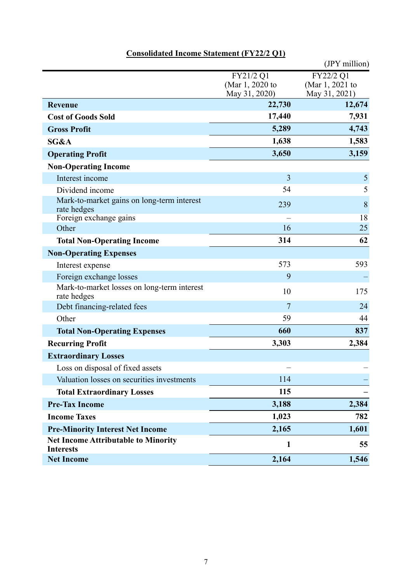|                                                                |                         | (JPY million)           |
|----------------------------------------------------------------|-------------------------|-------------------------|
|                                                                | FY21/2 Q1               | FY22/2 Q1               |
|                                                                | (Mar 1, 2020 to         | (Mar 1, 2021 to         |
| <b>Revenue</b>                                                 | May 31, 2020)<br>22,730 | May 31, 2021)<br>12,674 |
| <b>Cost of Goods Sold</b>                                      | 17,440                  | 7,931                   |
| <b>Gross Profit</b>                                            | 5,289                   | 4,743                   |
| SG&A                                                           | 1,638                   | 1,583                   |
| <b>Operating Profit</b>                                        | 3,650                   | 3,159                   |
|                                                                |                         |                         |
| <b>Non-Operating Income</b><br>Interest income                 | 3                       | $\mathfrak{S}$          |
|                                                                | 54                      | 5                       |
| Dividend income<br>Mark-to-market gains on long-term interest  |                         |                         |
| rate hedges                                                    | 239                     | 8                       |
| Foreign exchange gains                                         |                         | 18                      |
| Other                                                          | 16                      | 25                      |
| <b>Total Non-Operating Income</b>                              | 314                     | 62                      |
| <b>Non-Operating Expenses</b>                                  |                         |                         |
| Interest expense                                               | 573                     | 593                     |
| Foreign exchange losses                                        | 9                       |                         |
| Mark-to-market losses on long-term interest<br>rate hedges     | 10                      | 175                     |
| Debt financing-related fees                                    | $\overline{7}$          | 24                      |
| Other                                                          | 59                      | 44                      |
| <b>Total Non-Operating Expenses</b>                            | 660                     | 837                     |
| <b>Recurring Profit</b>                                        | 3,303                   | 2,384                   |
| <b>Extraordinary Losses</b>                                    |                         |                         |
| Loss on disposal of fixed assets                               |                         |                         |
| Valuation losses on securities investments                     | 114                     |                         |
| <b>Total Extraordinary Losses</b>                              | 115                     |                         |
| <b>Pre-Tax Income</b>                                          | 3,188                   | 2,384                   |
| <b>Income Taxes</b>                                            | 1,023                   | 782                     |
| <b>Pre-Minority Interest Net Income</b>                        | 2,165                   | 1,601                   |
| <b>Net Income Attributable to Minority</b><br><b>Interests</b> | 1                       | 55                      |
| <b>Net Income</b>                                              | 2,164                   | 1,546                   |

# **Consolidated Income Statement (FY22/2 Q1)**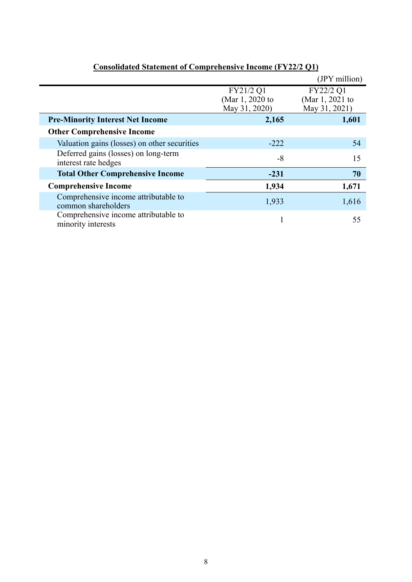|                                                              |                                               | (JPY million)                                 |
|--------------------------------------------------------------|-----------------------------------------------|-----------------------------------------------|
|                                                              | FY21/2 Q1<br>(Mar 1, 2020 to<br>May 31, 2020) | FY22/2 Q1<br>(Mar 1, 2021 to<br>May 31, 2021) |
| <b>Pre-Minority Interest Net Income</b>                      | 2,165                                         | 1,601                                         |
| <b>Other Comprehensive Income</b>                            |                                               |                                               |
| Valuation gains (losses) on other securities                 | $-222$                                        | 54                                            |
| Deferred gains (losses) on long-term<br>interest rate hedges | $-8$                                          | 15                                            |
| <b>Total Other Comprehensive Income</b>                      | $-231$                                        | 70                                            |
| <b>Comprehensive Income</b>                                  | 1,934                                         | 1,671                                         |
| Comprehensive income attributable to<br>common shareholders  | 1,933                                         | 1,616                                         |
| Comprehensive income attributable to<br>minority interests   |                                               | 55                                            |

# **Consolidated Statement of Comprehensive Income (FY22/2 Q1)**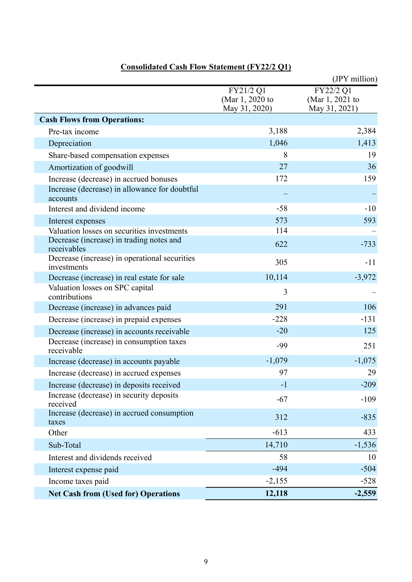|                                                              |                                               | (JPY million)                                 |
|--------------------------------------------------------------|-----------------------------------------------|-----------------------------------------------|
|                                                              | FY21/2 Q1<br>(Mar 1, 2020 to<br>May 31, 2020) | FY22/2 Q1<br>(Mar 1, 2021 to<br>May 31, 2021) |
| <b>Cash Flows from Operations:</b>                           |                                               |                                               |
| Pre-tax income                                               | 3,188                                         | 2,384                                         |
| Depreciation                                                 | 1,046                                         | 1,413                                         |
| Share-based compensation expenses                            | 8                                             | 19                                            |
| Amortization of goodwill                                     | 27                                            | 36                                            |
| Increase (decrease) in accrued bonuses                       | 172                                           | 159                                           |
| Increase (decrease) in allowance for doubtful<br>accounts    |                                               |                                               |
| Interest and dividend income                                 | $-58$                                         | $-10$                                         |
| Interest expenses                                            | 573                                           | 593                                           |
| Valuation losses on securities investments                   | 114                                           |                                               |
| Decrease (increase) in trading notes and<br>receivables      | 622                                           | $-733$                                        |
| Decrease (increase) in operational securities<br>investments | 305                                           | $-11$                                         |
| Decrease (increase) in real estate for sale                  | 10,114                                        | $-3,972$                                      |
| Valuation losses on SPC capital<br>contributions             | 3                                             |                                               |
| Decrease (increase) in advances paid                         | 291                                           | 106                                           |
| Decrease (increase) in prepaid expenses                      | $-228$                                        | $-131$                                        |
| Decrease (increase) in accounts receivable                   | $-20$                                         | 125                                           |
| Decrease (increase) in consumption taxes<br>receivable       | -99                                           | 251                                           |
| Increase (decrease) in accounts payable                      | $-1,079$                                      | $-1,075$                                      |
| Increase (decrease) in accrued expenses                      | 97                                            | 29                                            |
| Increase (decrease) in deposits received                     | $-1$                                          | $-209$                                        |
| Increase (decrease) in security deposits<br>received         | $-67$                                         | $-109$                                        |
| Increase (decrease) in accrued consumption<br>taxes          | 312                                           | $-835$                                        |
| Other                                                        | $-613$                                        | 433                                           |
| Sub-Total                                                    | 14,710                                        | $-1,536$                                      |
| Interest and dividends received                              | 58                                            | 10                                            |
| Interest expense paid                                        | $-494$                                        | $-504$                                        |
| Income taxes paid                                            | $-2,155$                                      | $-528$                                        |
| <b>Net Cash from (Used for) Operations</b>                   | 12,118                                        | $-2,559$                                      |

# **Consolidated Cash Flow Statement (FY22/2 Q1)**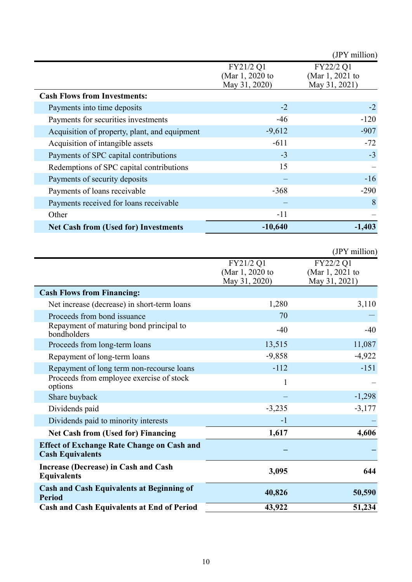|                                               |                                               | (JPY million)                                 |
|-----------------------------------------------|-----------------------------------------------|-----------------------------------------------|
|                                               | FY21/2 Q1<br>(Mar 1, 2020 to<br>May 31, 2020) | FY22/2 Q1<br>(Mar 1, 2021 to<br>May 31, 2021) |
| <b>Cash Flows from Investments:</b>           |                                               |                                               |
| Payments into time deposits                   | $-2$                                          | $-2$                                          |
| Payments for securities investments           | $-46$                                         | $-120$                                        |
| Acquisition of property, plant, and equipment | $-9,612$                                      | $-907$                                        |
| Acquisition of intangible assets              | $-611$                                        | $-72$                                         |
| Payments of SPC capital contributions         | $-3$                                          | $-3$                                          |
| Redemptions of SPC capital contributions      | 15                                            |                                               |
| Payments of security deposits                 |                                               | $-16$                                         |
| Payments of loans receivable                  | $-368$                                        | $-290$                                        |
| Payments received for loans receivable        |                                               | 8                                             |
| Other                                         | $-11$                                         |                                               |
| <b>Net Cash from (Used for) Investments</b>   | $-10,640$                                     | $-1,403$                                      |

|                                                                              |                                               | (JPY million)                                 |
|------------------------------------------------------------------------------|-----------------------------------------------|-----------------------------------------------|
|                                                                              | FY21/2 Q1<br>(Mar 1, 2020 to<br>May 31, 2020) | FY22/2 Q1<br>(Mar 1, 2021 to<br>May 31, 2021) |
| <b>Cash Flows from Financing:</b>                                            |                                               |                                               |
| Net increase (decrease) in short-term loans                                  | 1,280                                         | 3,110                                         |
| Proceeds from bond issuance                                                  | 70                                            |                                               |
| Repayment of maturing bond principal to<br>bondholders                       | $-40$                                         | -40                                           |
| Proceeds from long-term loans                                                | 13,515                                        | 11,087                                        |
| Repayment of long-term loans                                                 | $-9,858$                                      | $-4,922$                                      |
| Repayment of long term non-recourse loans                                    | $-112$                                        | $-151$                                        |
| Proceeds from employee exercise of stock<br>options                          | $\mathbf{1}$                                  |                                               |
| Share buyback                                                                |                                               | $-1,298$                                      |
| Dividends paid                                                               | $-3,235$                                      | $-3,177$                                      |
| Dividends paid to minority interests                                         | $-1$                                          |                                               |
| <b>Net Cash from (Used for) Financing</b>                                    | 1,617                                         | 4,606                                         |
| <b>Effect of Exchange Rate Change on Cash and</b><br><b>Cash Equivalents</b> |                                               |                                               |
| <b>Increase (Decrease) in Cash and Cash</b><br><b>Equivalents</b>            | 3,095                                         | 644                                           |
| <b>Cash and Cash Equivalents at Beginning of</b><br><b>Period</b>            | 40,826                                        | 50,590                                        |
| <b>Cash and Cash Equivalents at End of Period</b>                            | 43,922                                        | 51,234                                        |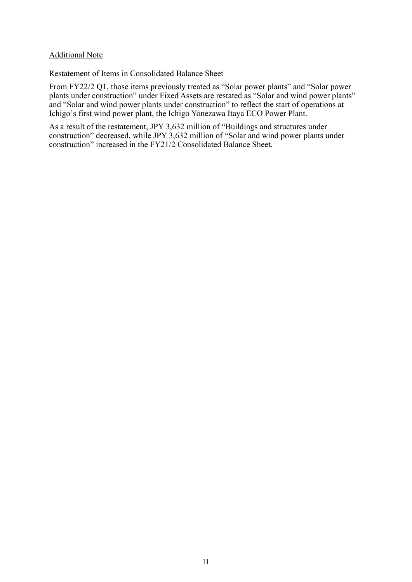#### Additional Note

Restatement of Items in Consolidated Balance Sheet

From FY22/2 Q1, those items previously treated as "Solar power plants" and "Solar power plants under construction" under Fixed Assets are restated as "Solar and wind power plants" and "Solar and wind power plants under construction" to reflect the start of operations at Ichigo's first wind power plant, the Ichigo Yonezawa Itaya ECO Power Plant.

As a result of the restatement, JPY 3,632 million of "Buildings and structures under construction" decreased, while JPY 3,632 million of "Solar and wind power plants under construction" increased in the FY21/2 Consolidated Balance Sheet.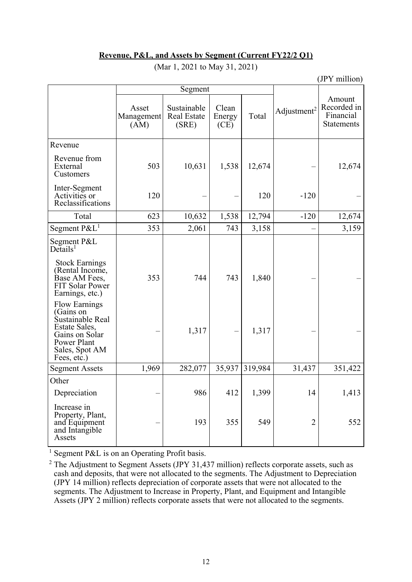## **Revenue, P&L, and Assets by Segment (Current FY22/2 Q1)**

|                                                                                                                                                                          |                             |                                            |                         |         | (JPY million)           |                                                         |
|--------------------------------------------------------------------------------------------------------------------------------------------------------------------------|-----------------------------|--------------------------------------------|-------------------------|---------|-------------------------|---------------------------------------------------------|
|                                                                                                                                                                          | Segment                     |                                            |                         |         |                         |                                                         |
|                                                                                                                                                                          | Asset<br>Management<br>(AM) | Sustainable<br><b>Real Estate</b><br>(SRE) | Clean<br>Energy<br>(CE) | Total   | Adjustment <sup>2</sup> | Amount<br>Recorded in<br>Financial<br><b>Statements</b> |
| Revenue                                                                                                                                                                  |                             |                                            |                         |         |                         |                                                         |
| Revenue from<br>External<br>Customers                                                                                                                                    | 503                         | 10,631                                     | 1,538                   | 12,674  |                         | 12,674                                                  |
| Inter-Segment<br>Activities or<br>Reclassifications                                                                                                                      | 120                         |                                            |                         | 120     | $-120$                  |                                                         |
| Total                                                                                                                                                                    | 623                         | 10,632                                     | 1,538                   | 12,794  | $-120$                  | 12,674                                                  |
| Segment $P\&L^1$                                                                                                                                                         | 353                         | 2,061                                      | 743                     | 3,158   |                         | 3,159                                                   |
| Segment P&L<br>$De$ tails <sup>1</sup><br><b>Stock Earnings</b><br>(Rental Income,<br>Base AM Fees,<br><b>FIT Solar Power</b><br>Earnings, etc.)<br><b>Flow Earnings</b> | 353                         | 744                                        | 743                     | 1,840   |                         |                                                         |
| (Gains on<br>Sustainable Real<br>Estate Sales,<br>Gains on Solar<br>Power Plant<br>Sales, Spot AM<br>Fees, etc.)                                                         |                             | 1,317                                      |                         | 1,317   |                         |                                                         |
| <b>Segment Assets</b>                                                                                                                                                    | 1,969                       | 282,077                                    | 35,937                  | 319,984 | 31,437                  | 351,422                                                 |
| Other                                                                                                                                                                    |                             |                                            |                         |         |                         |                                                         |
| Depreciation                                                                                                                                                             |                             | 986                                        | 412                     | 1,399   | 14                      | 1,413                                                   |
| Increase in<br>Property, Plant,<br>and Equipment<br>and Intangible<br>Assets                                                                                             |                             | 193                                        | 355                     | 549     | $\overline{2}$          | 552                                                     |

(Mar 1, 2021 to May 31, 2021)

<sup>1</sup> Segment P&L is on an Operating Profit basis.

 $2$  The Adjustment to Segment Assets (JPY 31,437 million) reflects corporate assets, such as cash and deposits, that were not allocated to the segments. The Adjustment to Depreciation (JPY 14 million) reflects depreciation of corporate assets that were not allocated to the segments. The Adjustment to Increase in Property, Plant, and Equipment and Intangible Assets (JPY 2 million) reflects corporate assets that were not allocated to the segments.